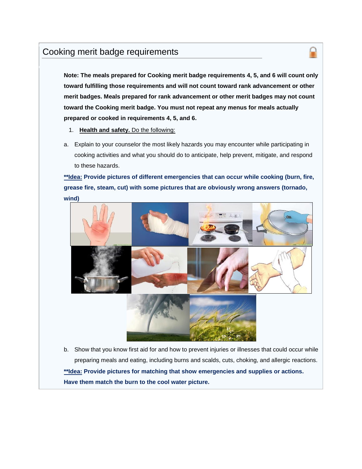# Cooking merit badge requirements

**Note: The meals prepared for Cooking merit badge requirements 4, 5, and 6 will count only toward fulfilling those requirements and will not count toward rank advancement or other merit badges. Meals prepared for rank advancement or other merit badges may not count toward the Cooking merit badge. You must not repeat any menus for meals actually prepared or cooked in requirements 4, 5, and 6.**

1. **Health and safety.** Do the following:

a. Explain to your counselor the most likely hazards you may encounter while participating in cooking activities and what you should do to anticipate, help prevent, mitigate, and respond to these hazards.

**\*\*Idea: Provide pictures of different emergencies that can occur while cooking (burn, fire, grease fire, steam, cut) with some pictures that are obviously wrong answers (tornado, wind)**



b. Show that you know first aid for and how to prevent injuries or illnesses that could occur while preparing meals and eating, including burns and scalds, cuts, choking, and allergic reactions. **\*\*Idea: Provide pictures for matching that show emergencies and supplies or actions. Have them match the burn to the cool water picture.**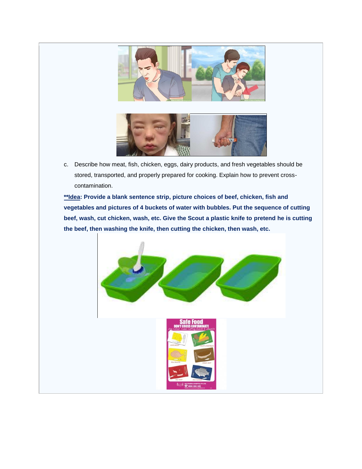



c. Describe how meat, fish, chicken, eggs, dairy products, and fresh vegetables should be stored, transported, and properly prepared for cooking. Explain how to prevent crosscontamination.

**\*\*Idea: Provide a blank sentence strip, picture choices of beef, chicken, fish and vegetables and pictures of 4 buckets of water with bubbles. Put the sequence of cutting beef, wash, cut chicken, wash, etc. Give the Scout a plastic knife to pretend he is cutting the beef, then washing the knife, then cutting the chicken, then wash, etc.**

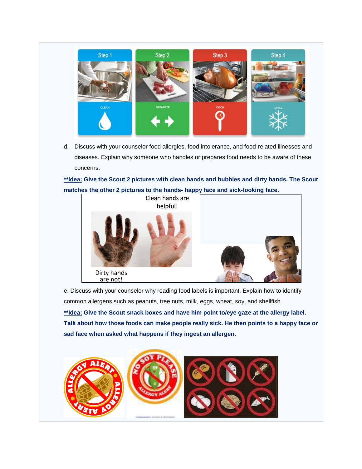

d. Discuss with your counselor food allergies, food intolerance, and food-related illnesses and diseases. Explain why someone who handles or prepares food needs to be aware of these concerns.

**\*\*Idea: Give the Scout 2 pictures with clean hands and bubbles and dirty hands. The Scout matches the other 2 pictures to the hands- happy face and sick-looking face.**



e. Discuss with your counselor why reading food labels is important. Explain how to identify common allergens such as peanuts, tree nuts, milk, eggs, wheat, soy, and shellfish.

**\*\*Idea: Give the Scout snack boxes and have him point to/eye gaze at the allergy label. Talk about how those foods can make people really sick. He then points to a happy face or sad face when asked what happens if they ingest an allergen.**

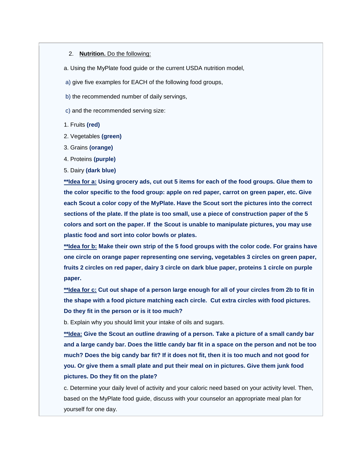### 2. **Nutrition.** Do the following:

a. Using the MyPlate food guide or the current USDA nutrition model,

a) give five examples for EACH of the following food groups,

- b) the recommended number of daily servings,
- c) and the recommended serving size:
- 1. Fruits **(red)**
- 2. Vegetables **(green)**
- 3. Grains **(orange)**
- 4. Proteins **(purple)**
- 5. Dairy **(dark blue)**

**\*\*Idea for a: Using grocery ads, cut out 5 items for each of the food groups. Glue them to the color specific to the food group: apple on red paper, carrot on green paper, etc. Give each Scout a color copy of the MyPlate. Have the Scout sort the pictures into the correct sections of the plate. If the plate is too small, use a piece of construction paper of the 5 colors and sort on the paper. If the Scout is unable to manipulate pictures, you may use plastic food and sort into color bowls or plates.**

**\*\*Idea for b: Make their own strip of the 5 food groups with the color code. For grains have one circle on orange paper representing one serving, vegetables 3 circles on green paper, fruits 2 circles on red paper, dairy 3 circle on dark blue paper, proteins 1 circle on purple paper.** 

**\*\*Idea for c: Cut out shape of a person large enough for all of your circles from 2b to fit in the shape with a food picture matching each circle. Cut extra circles with food pictures. Do they fit in the person or is it too much?** 

b. Explain why you should limit your intake of oils and sugars.

**\*\*Idea: Give the Scout an outline drawing of a person. Take a picture of a small candy bar and a large candy bar. Does the little candy bar fit in a space on the person and not be too much? Does the big candy bar fit? If it does not fit, then it is too much and not good for you. Or give them a small plate and put their meal on in pictures. Give them junk food pictures. Do they fit on the plate?**

c. Determine your daily level of activity and your caloric need based on your activity level. Then, based on the MyPlate food guide, discuss with your counselor an appropriate meal plan for yourself for one day.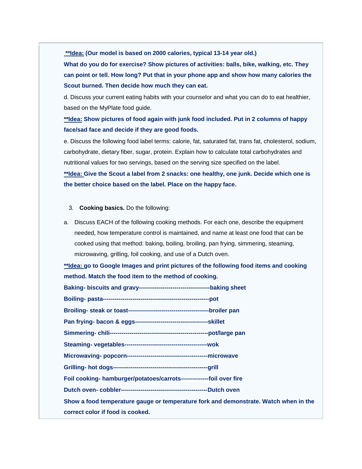**\*\*Idea: (Our model is based on 2000 calories, typical 13-14 year old.)** 

**What do you do for exercise? Show pictures of activities: balls, bike, walking, etc. They can point or tell. How long? Put that in your phone app and show how many calories the Scout burned. Then decide how much they can eat.**

d. Discuss your current eating habits with your counselor and what you can do to eat healthier, based on the MyPlate food guide.

**\*\*Idea: Show pictures of food again with junk food included. Put in 2 columns of happy face/sad face and decide if they are good foods.**

e. Discuss the following food label terms: calorie, fat, saturated fat, trans fat, cholesterol, sodium, carbohydrate, dietary fiber, sugar, protein. Explain how to calculate total carbohydrates and nutritional values for two servings, based on the serving size specified on the label.

**\*\*Idea: Give the Scout a label from 2 snacks: one healthy, one junk. Decide which one is the better choice based on the label. Place on the happy face.**

## 3. **Cooking basics.** Do the following:

a. Discuss EACH of the following cooking methods. For each one, describe the equipment needed, how temperature control is maintained, and name at least one food that can be cooked using that method: baking, boiling, broiling, pan frying, simmering, steaming, microwaving, grilling, foil cooking, and use of a Dutch oven.

**\*\*Idea: go to Google Images and print pictures of the following food items and cooking method. Match the food item to the method of cooking.**

| Foil cooking- hamburger/potatoes/carrots---------------foil over fire                |
|--------------------------------------------------------------------------------------|
|                                                                                      |
| Show a food temperature gauge or temperature fork and demonstrate. Watch when in the |
| correct color if food is cooked.                                                     |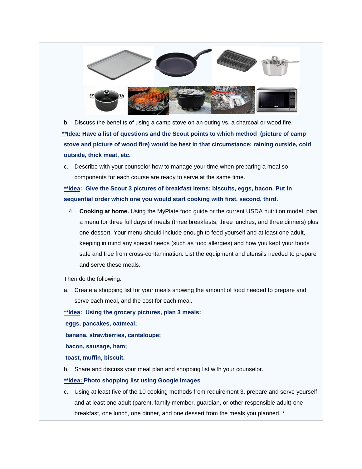

b. Discuss the benefits of using a camp stove on an outing vs. a charcoal or wood fire.

 **\*\*Idea: Have a list of questions and the Scout points to which method (picture of camp stove and picture of wood fire) would be best in that circumstance: raining outside, cold outside, thick meat, etc.** 

c. Describe with your counselor how to manage your time when preparing a meal so components for each course are ready to serve at the same time.

**\*\*Idea: Give the Scout 3 pictures of breakfast items: biscuits, eggs, bacon. Put in sequential order which one you would start cooking with first, second, third.**

4. **Cooking at home.** Using the MyPlate food guide or the current USDA nutrition model, plan a menu for three full days of meals (three breakfasts, three lunches, and three dinners) plus one dessert. Your menu should include enough to feed yourself and at least one adult, keeping in mind any special needs (such as food allergies) and how you kept your foods safe and free from cross-contamination. List the equipment and utensils needed to prepare and serve these meals.

Then do the following:

a. Create a shopping list for your meals showing the amount of food needed to prepare and serve each meal, and the cost for each meal.

**\*\*Idea: Using the grocery pictures, plan 3 meals:** 

**eggs, pancakes, oatmeal;**

**banana, strawberries, cantaloupe;**

**bacon, sausage, ham;** 

**toast, muffin, biscuit.** 

b. Share and discuss your meal plan and shopping list with your counselor.

## **\*\*Idea: Photo shopping list using Google Images**

c. Using at least five of the 10 cooking methods from requirement 3, prepare and serve yourself and at least one adult (parent, family member, guardian, or other responsible adult) one breakfast, one lunch, one dinner, and one dessert from the meals you planned. \*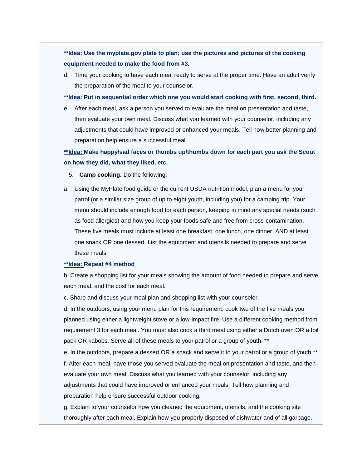**\*\*Idea: Use the myplate.gov plate to plan; use the pictures and pictures of the cooking equipment needed to make the food from #3.**

d. Time your cooking to have each meal ready to serve at the proper time. Have an adult verify the preparation of the meal to your counselor.

**\*\*Idea: Put in sequential order which one you would start cooking with first, second, third.**

e. After each meal, ask a person you served to evaluate the meal on presentation and taste, then evaluate your own meal. Discuss what you learned with your counselor, including any adjustments that could have improved or enhanced your meals. Tell how better planning and preparation help ensure a successful meal.

**\*\*Idea: Make happy/sad faces or thumbs up/thumbs down for each part you ask the Scout on how they did, what they liked, etc.**

- 5. **Camp cooking.** Do the following:
- a. Using the MyPlate food guide or the current USDA nutrition model, plan a menu for your patrol (or a similar size group of up to eight youth, including you) for a camping trip. Your menu should include enough food for each person, keeping in mind any special needs (such as food allergies) and how you keep your foods safe and free from cross-contamination. These five meals must include at least one breakfast, one lunch, one dinner, AND at least one snack OR one dessert. List the equipment and utensils needed to prepare and serve these meals.

#### **\*\*Idea: Repeat #4 method**

b. Create a shopping list for your meals showing the amount of food needed to prepare and serve each meal, and the cost for each meal.

c. Share and discuss your meal plan and shopping list with your counselor.

d. In the outdoors, using your menu plan for this requirement, cook two of the five meals you planned using either a lightweight stove or a low-impact fire. Use a different cooking method from requirement 3 for each meal. You must also cook a third meal using either a Dutch oven OR a foil pack OR kabobs. Serve all of these meals to your patrol or a group of youth. \*\*

e. In the outdoors, prepare a dessert OR a snack and serve it to your patrol or a group of youth.\*\* f. After each meal, have those you served evaluate the meal on presentation and taste, and then evaluate your own meal. Discuss what you learned with your counselor, including any adjustments that could have improved or enhanced your meals. Tell how planning and preparation help ensure successful outdoor cooking.

g. Explain to your counselor how you cleaned the equipment, utensils, and the cooking site thoroughly after each meal. Explain how you properly disposed of dishwater and of all garbage.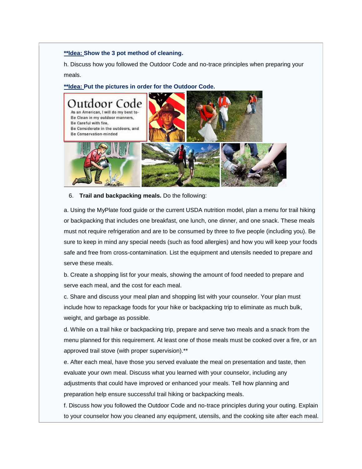#### **\*\*Idea: Show the 3 pot method of cleaning.**

h. Discuss how you followed the Outdoor Code and no-trace principles when preparing your meals.

**\*\*Idea: Put the pictures in order for the Outdoor Code.**



#### 6. **Trail and backpacking meals.** Do the following:

a. Using the MyPlate food guide or the current USDA nutrition model, plan a menu for trail hiking or backpacking that includes one breakfast, one lunch, one dinner, and one snack. These meals must not require refrigeration and are to be consumed by three to five people (including you). Be sure to keep in mind any special needs (such as food allergies) and how you will keep your foods safe and free from cross-contamination. List the equipment and utensils needed to prepare and serve these meals.

b. Create a shopping list for your meals, showing the amount of food needed to prepare and serve each meal, and the cost for each meal.

c. Share and discuss your meal plan and shopping list with your counselor. Your plan must include how to repackage foods for your hike or backpacking trip to eliminate as much bulk, weight, and garbage as possible.

d. While on a trail hike or backpacking trip, prepare and serve two meals and a snack from the menu planned for this requirement. At least one of those meals must be cooked over a fire, or an approved trail stove (with proper supervision).\*\*

e. After each meal, have those you served evaluate the meal on presentation and taste, then evaluate your own meal. Discuss what you learned with your counselor, including any adjustments that could have improved or enhanced your meals. Tell how planning and preparation help ensure successful trail hiking or backpacking meals.

f. Discuss how you followed the Outdoor Code and no-trace principles during your outing. Explain to your counselor how you cleaned any equipment, utensils, and the cooking site after each meal.